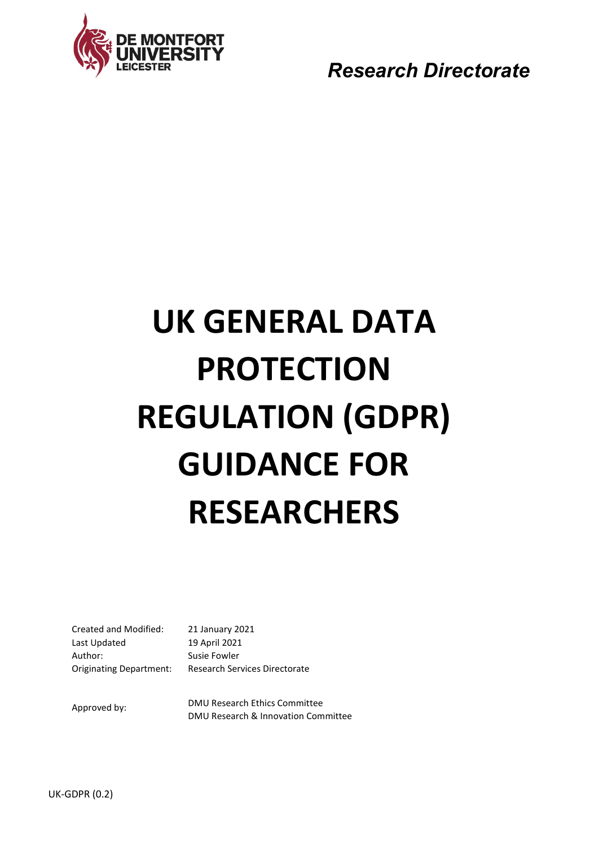

*Research Directorate* 

# **UK GENERAL DATA PROTECTION REGULATION (GDPR) GUIDANCE FOR RESEARCHERS**

Created and Modified: 21 January 2021 Last Updated 19 April 2021 Author: Susie Fowler Originating Department: Research Services Directorate

Approved by: DMU Research Ethics Committee DMU Research & Innovation Committee

UK-GDPR (0.2)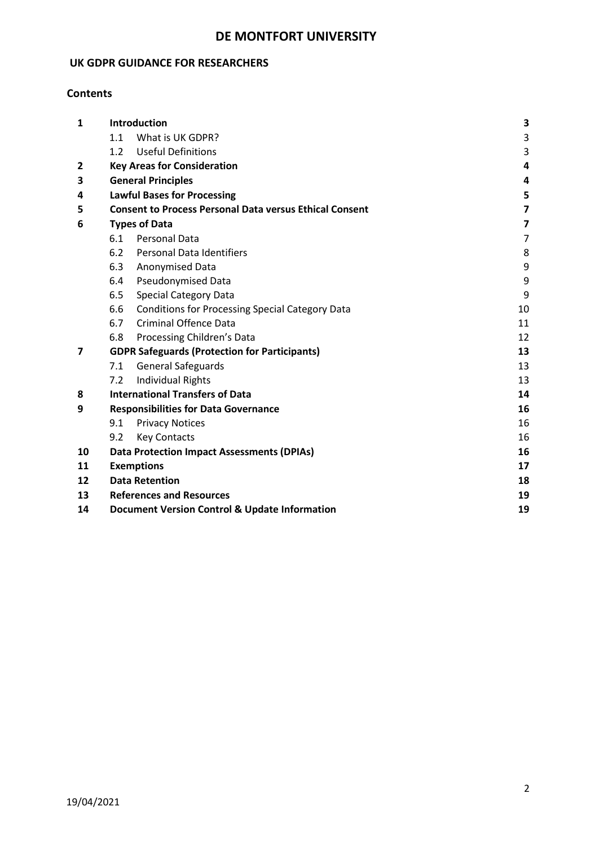## **DE MONTFORT UNIVERSITY**

## **UK GDPR GUIDANCE FOR RESEARCHERS**

## **Contents**

| $\mathbf{1}$ | Introduction                                         |                                                                |                         |  |  |  |
|--------------|------------------------------------------------------|----------------------------------------------------------------|-------------------------|--|--|--|
|              | 1.1                                                  | What is UK GDPR?                                               | 3                       |  |  |  |
|              | 1.2                                                  | <b>Useful Definitions</b>                                      | $\mathsf 3$             |  |  |  |
| $\mathbf{2}$ |                                                      | <b>Key Areas for Consideration</b>                             |                         |  |  |  |
| 3            |                                                      | <b>General Principles</b>                                      | 4                       |  |  |  |
| 4            |                                                      | <b>Lawful Bases for Processing</b>                             | 5                       |  |  |  |
| 5            |                                                      | <b>Consent to Process Personal Data versus Ethical Consent</b> | $\overline{\mathbf{z}}$ |  |  |  |
| 6            | <b>Types of Data</b>                                 |                                                                |                         |  |  |  |
|              | 6.1                                                  | <b>Personal Data</b>                                           | $\overline{7}$          |  |  |  |
|              | 6.2                                                  | <b>Personal Data Identifiers</b>                               | 8                       |  |  |  |
|              | 6.3                                                  | Anonymised Data                                                | 9                       |  |  |  |
|              | 6.4                                                  | <b>Pseudonymised Data</b>                                      | 9                       |  |  |  |
|              | 6.5                                                  | <b>Special Category Data</b>                                   | 9                       |  |  |  |
|              | 6.6                                                  | <b>Conditions for Processing Special Category Data</b>         | 10                      |  |  |  |
|              | 6.7                                                  | <b>Criminal Offence Data</b>                                   | 11                      |  |  |  |
|              | 6.8                                                  | Processing Children's Data                                     | 12                      |  |  |  |
| 7            | <b>GDPR Safeguards (Protection for Participants)</b> | 13                                                             |                         |  |  |  |
|              | 7.1                                                  | <b>General Safeguards</b>                                      | 13                      |  |  |  |
|              | 7.2                                                  | <b>Individual Rights</b>                                       | 13                      |  |  |  |
| 8            | <b>International Transfers of Data</b>               |                                                                |                         |  |  |  |
| 9            | <b>Responsibilities for Data Governance</b>          |                                                                |                         |  |  |  |
|              | 9.1                                                  | <b>Privacy Notices</b>                                         | 16                      |  |  |  |
|              | 9.2                                                  | <b>Key Contacts</b>                                            | 16                      |  |  |  |
| 10           |                                                      | <b>Data Protection Impact Assessments (DPIAs)</b>              | 16                      |  |  |  |
| 11           | <b>Exemptions</b>                                    |                                                                |                         |  |  |  |
| 12           |                                                      | <b>Data Retention</b><br>18                                    |                         |  |  |  |
| 13           |                                                      | <b>References and Resources</b><br>19                          |                         |  |  |  |
| 14           |                                                      | <b>Document Version Control &amp; Update Information</b><br>19 |                         |  |  |  |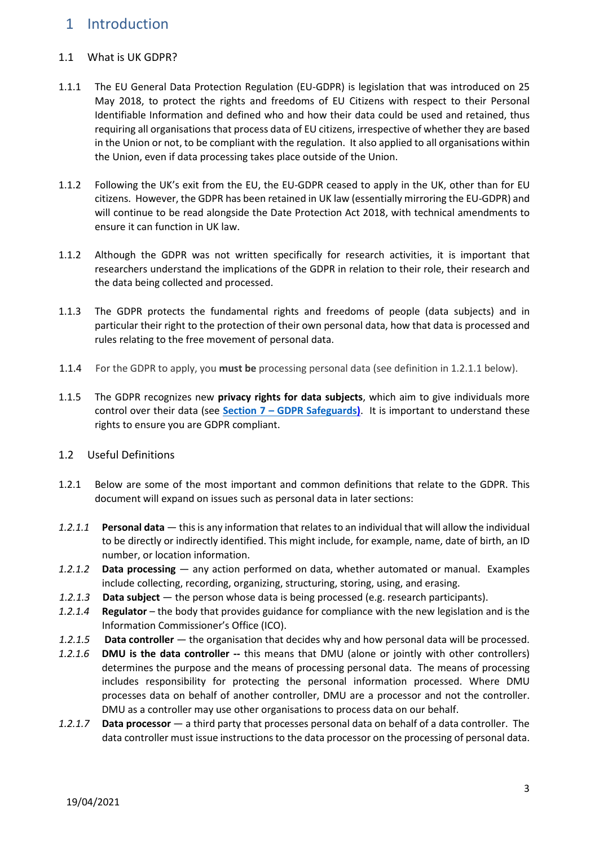# <span id="page-2-0"></span>1 Introduction

#### <span id="page-2-1"></span>1.1 What is UK GDPR?

- 1.1.1 The EU General Data Protection Regulation (EU-GDPR) is legislation that was introduced on 25 May 2018, to protect the rights and freedoms of EU Citizens with respect to their Personal Identifiable Information and defined who and how their data could be used and retained, thus requiring all organisations that process data of EU citizens, irrespective of whether they are based in the Union or not, to be compliant with the regulation. It also applied to all organisations within the Union, even if data processing takes place outside of the Union.
- 1.1.2 Following the UK's exit from the EU, the EU-GDPR ceased to apply in the UK, other than for EU citizens. However, the GDPR has been retained in UK law (essentially mirroring the EU-GDPR) and will continue to be read alongside the Date Protection Act 2018, with technical amendments to ensure it can function in UK law.
- 1.1.2 Although the GDPR was not written specifically for research activities, it is important that researchers understand the implications of the GDPR in relation to their role, their research and the data being collected and processed.
- 1.1.3 The GDPR protects the fundamental rights and freedoms of people (data subjects) and in particular their right to the protection of their own personal data, how that data is processed and rules relating to the free movement of personal data.
- 1.1.4 For the GDPR to apply, you **must be** processing personal data (see definition in 1.2.1.1 below).
- 1.1.5 The GDPR recognizes new **privacy rights for data subjects**, which aim to give individuals more control over their data (see **Section 7 – [GDPR Safeguards\)](#page-12-0)**. It is important to understand these rights to ensure you are GDPR compliant.
- <span id="page-2-2"></span>1.2 Useful Definitions
- 1.2.1 Below are some of the most important and common definitions that relate to the GDPR. This document will expand on issues such as personal data in later sections:
- *1.2.1.1* **Personal data**  this is any information that relates to an individual that will allow the individual to be directly or indirectly identified. This might include, for example, name, date of birth, an ID number, or location information.
- *1.2.1.2* **Data processing**  any action performed on data, whether automated or manual. Examples include collecting, recording, organizing, structuring, storing, using, and erasing.
- *1.2.1.3* **Data subject**  the person whose data is being processed (e.g. research participants).
- *1.2.1.4* **Regulator** the body that provides guidance for compliance with the new legislation and is the Information Commissioner's Office (ICO).
- *1.2.1.5* **Data controller**  the organisation that decides why and how personal data will be processed.
- *1.2.1.6* **DMU is the data controller --** this means that DMU (alone or jointly with other controllers) determines the purpose and the means of processing personal data. The means of processing includes responsibility for protecting the personal information processed. Where DMU processes data on behalf of another controller, DMU are a processor and not the controller. DMU as a controller may use other organisations to process data on our behalf.
- *1.2.1.7* **Data processor**  a third party that processes personal data on behalf of a data controller. The data controller must issue instructions to the data processor on the processing of personal data.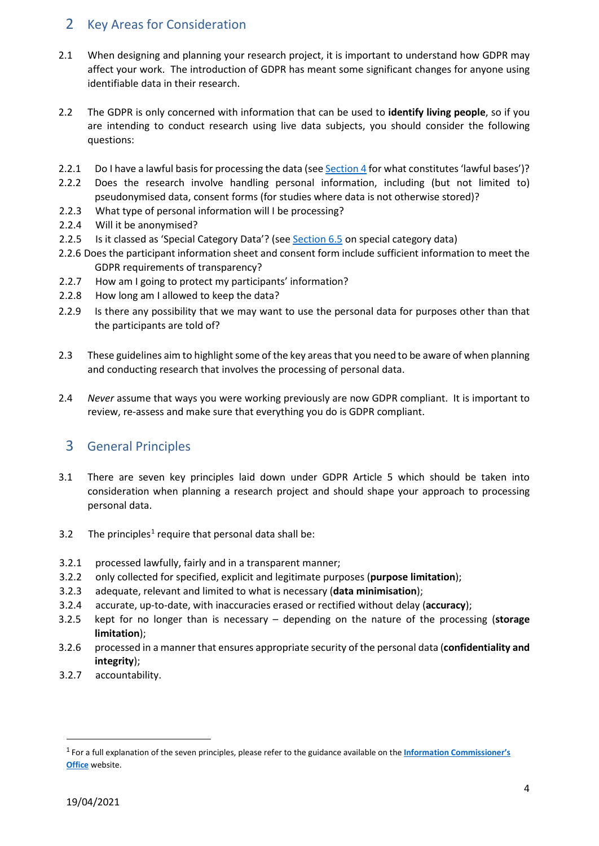## <span id="page-3-0"></span>2 Key Areas for Consideration

- 2.1 When designing and planning your research project, it is important to understand how GDPR may affect your work. The introduction of GDPR has meant some significant changes for anyone using identifiable data in their research.
- 2.2 The GDPR is only concerned with information that can be used to **identify living people**, so if you are intending to conduct research using live data subjects, you should consider the following questions:
- 2.2.1 Do I have a lawful basis for processing the data (see [Section 4](#page-4-0) for what constitutes 'lawful bases')?
- 2.2.2 Does the research involve handling personal information, including (but not limited to) pseudonymised data, consent forms (for studies where data is not otherwise stored)?
- 2.2.3 What type of personal information will I be processing?
- 2.2.4 Will it be anonymised?
- 2.2.5 Is it classed as 'Special Category Data'? (se[e Section 6.5](#page-8-2) on special category data)
- 2.2.6 Does the participant information sheet and consent form include sufficient information to meet the GDPR requirements of transparency?
- 2.2.7 How am I going to protect my participants' information?
- 2.2.8 How long am I allowed to keep the data?
- 2.2.9 Is there any possibility that we may want to use the personal data for purposes other than that the participants are told of?
- 2.3 These guidelines aim to highlight some of the key areas that you need to be aware of when planning and conducting research that involves the processing of personal data.
- 2.4 *Never* assume that ways you were working previously are now GDPR compliant. It is important to review, re-assess and make sure that everything you do is GDPR compliant.

## <span id="page-3-1"></span>3 General Principles

- 3.1 There are seven key principles laid down under GDPR Article 5 which should be taken into consideration when planning a research project and should shape your approach to processing personal data.
- 3.2 The principles<sup>1</sup> require that personal data shall be:
- 3.2.1 processed lawfully, fairly and in a transparent manner;
- 3.2.2 only collected for specified, explicit and legitimate purposes (**purpose limitation**);
- 3.2.3 adequate, relevant and limited to what is necessary (**data minimisation**);
- 3.2.4 accurate, up-to-date, with inaccuracies erased or rectified without delay (**accuracy**);
- 3.2.5 kept for no longer than is necessary depending on the nature of the processing (**storage limitation**);
- 3.2.6 processed in a manner that ensures appropriate security of the personal data (**confidentiality and integrity**);
- 3.2.7 accountability.

<span id="page-3-2"></span> <sup>1</sup> For a full explanation of the seven principles, please refer to the guidance available on the **[Information Commissioner's](https://ico.org.uk/for-organisations/guide-to-data-protection/guide-to-the-general-data-protection-regulation-gdpr/principles/)  [Office](https://ico.org.uk/for-organisations/guide-to-data-protection/guide-to-the-general-data-protection-regulation-gdpr/principles/)** website.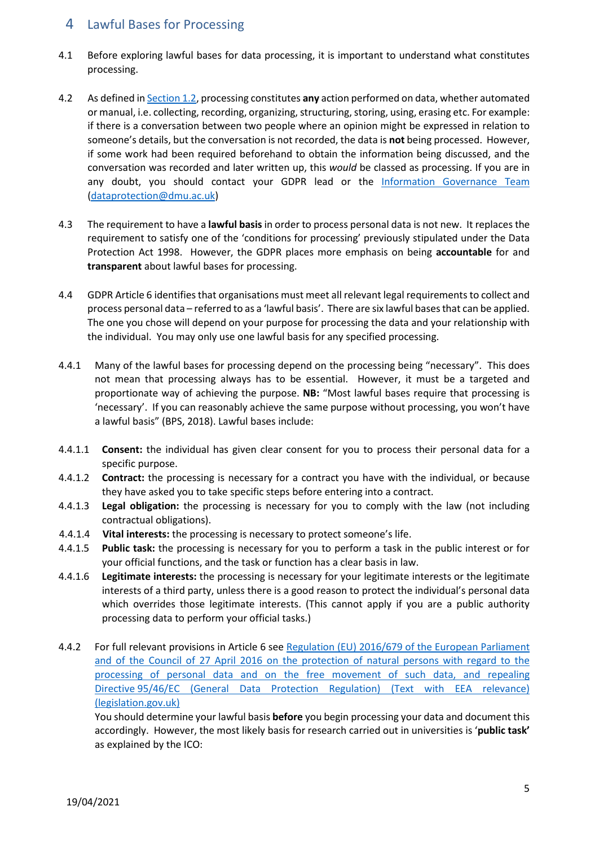## <span id="page-4-0"></span>4 Lawful Bases for Processing

- 4.1 Before exploring lawful bases for data processing, it is important to understand what constitutes processing.
- 4.2 As defined i[n Section 1.2,](#page-2-2) processing constitutes **any** action performed on data, whether automated or manual, i.e. collecting, recording, organizing, structuring, storing, using, erasing etc. For example: if there is a conversation between two people where an opinion might be expressed in relation to someone's details, but the conversation is not recorded, the data is **not** being processed. However, if some work had been required beforehand to obtain the information being discussed, and the conversation was recorded and later written up, this *would* be classed as processing. If you are in any doubt, you should contact your GDPR lead or the [Information Governance Team](#page-15-2) [\(dataprotection@dmu.ac.uk\)](mailto:dataprotection@dmu.ac.uk)
- 4.3 The requirement to have a **lawful basis**in order to process personal data is not new. It replaces the requirement to satisfy one of the 'conditions for processing' previously stipulated under the Data Protection Act 1998. However, the GDPR places more emphasis on being **accountable** for and **transparent** about lawful bases for processing.
- 4.4 GDPR Article 6 identifies that organisations must meet all relevant legal requirements to collect and process personal data – referred to as a 'lawful basis'. There are six lawful bases that can be applied. The one you chose will depend on your purpose for processing the data and your relationship with the individual. You may only use one lawful basis for any specified processing.
- 4.4.1 Many of the lawful bases for processing depend on the processing being "necessary". This does not mean that processing always has to be essential. However, it must be a targeted and proportionate way of achieving the purpose. **NB:** "Most lawful bases require that processing is 'necessary'. If you can reasonably achieve the same purpose without processing, you won't have a lawful basis" (BPS, 2018). Lawful bases include:
- 4.4.1.1 **Consent:** the individual has given clear consent for you to process their personal data for a specific purpose.
- 4.4.1.2 **Contract:** the processing is necessary for a contract you have with the individual, or because they have asked you to take specific steps before entering into a contract.
- 4.4.1.3 **Legal obligation:** the processing is necessary for you to comply with the law (not including contractual obligations).
- 4.4.1.4 **Vital interests:** the processing is necessary to protect someone's life.
- 4.4.1.5 **Public task:** the processing is necessary for you to perform a task in the public interest or for your official functions, and the task or function has a clear basis in law.
- 4.4.1.6 **Legitimate interests:** the processing is necessary for your legitimate interests or the legitimate interests of a third party, unless there is a good reason to protect the individual's personal data which overrides those legitimate interests. (This cannot apply if you are a public authority processing data to perform your official tasks.)
- 4.4.2 For full relevant provisions in Article 6 see [Regulation \(EU\) 2016/679 of the European Parliament](https://www.legislation.gov.uk/eur/2016/679/article/6)  [and of the Council of 27 April 2016 on the protection of natural persons with regard to the](https://www.legislation.gov.uk/eur/2016/679/article/6)  [processing of personal data and on the free movement of such data, and repealing](https://www.legislation.gov.uk/eur/2016/679/article/6)  Directive [95/46/EC \(General Data Protection Regulation\) \(Text with EEA relevance\)](https://www.legislation.gov.uk/eur/2016/679/article/6)  [\(legislation.gov.uk\)](https://www.legislation.gov.uk/eur/2016/679/article/6)

You should determine your lawful basis **before** you begin processing your data and document this accordingly. However, the most likely basis for research carried out in universities is '**public task'** as explained by the ICO: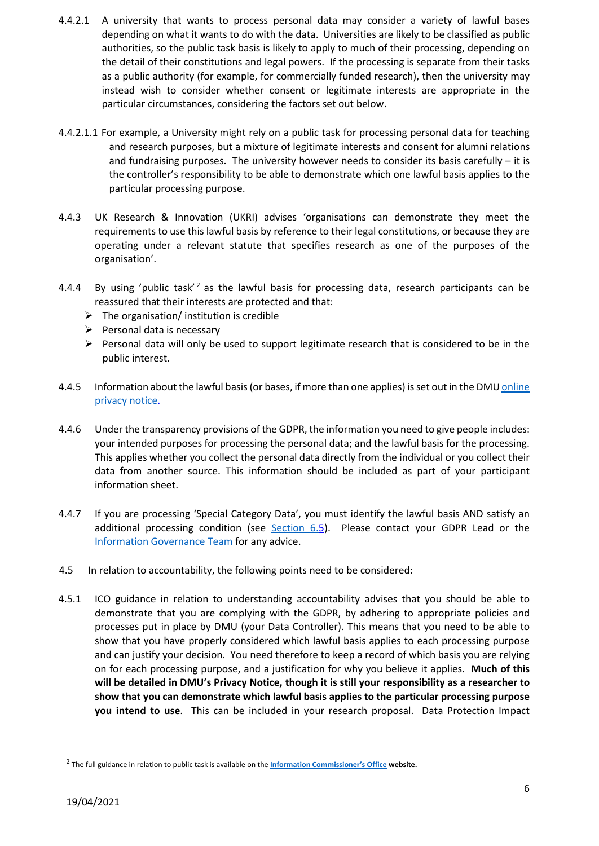- 4.4.2.1 A university that wants to process personal data may consider a variety of lawful bases depending on what it wants to do with the data. Universities are likely to be classified as public authorities, so the public task basis is likely to apply to much of their processing, depending on the detail of their constitutions and legal powers. If the processing is separate from their tasks as a public authority (for example, for commercially funded research), then the university may instead wish to consider whether consent or legitimate interests are appropriate in the particular circumstances, considering the factors set out below.
- 4.4.2.1.1 For example, a University might rely on a public task for processing personal data for teaching and research purposes, but a mixture of legitimate interests and consent for alumni relations and fundraising purposes. The university however needs to consider its basis carefully  $-$  it is the controller's responsibility to be able to demonstrate which one lawful basis applies to the particular processing purpose.
- 4.4.3 UK Research & Innovation (UKRI) advises 'organisations can demonstrate they meet the requirements to use this lawful basis by reference to their legal constitutions, or because they are operating under a relevant statute that specifies research as one of the purposes of the organisation'.
- 4.4.4 By using 'public task'<sup>[2](#page-5-0)</sup> as the lawful basis for processing data, research participants can be reassured that their interests are protected and that:
	- $\triangleright$  The organisation/ institution is credible
	- $\triangleright$  Personal data is necessary
	- $\triangleright$  Personal data will only be used to support legitimate research that is considered to be in the public interest.
- 4.4.5 Information about the lawful basis (or bases, if more than one applies) is set out in the DM[U online](https://www.dmu.ac.uk/policies/data-protection/data-protection.aspx)  [privacy notice.](https://www.dmu.ac.uk/policies/data-protection/data-protection.aspx)
- 4.4.6 Under the transparency provisions of the GDPR, the information you need to give people includes: your intended purposes for processing the personal data; and the lawful basis for the processing. This applies whether you collect the personal data directly from the individual or you collect their data from another source. This information should be included as part of your participant information sheet.
- 4.4.7 If you are processing 'Special Category Data', you must identify the lawful basis AND satisfy an additional processing condition (see  $Section 6.5$ ). Please contact your GDPR Lead or the [Information Governance Team](#page-15-2) for any advice.
- 4.5 In relation to accountability, the following points need to be considered:
- 4.5.1 ICO guidance in relation to understanding accountability advises that you should be able to demonstrate that you are complying with the GDPR, by adhering to appropriate policies and processes put in place by DMU (your Data Controller). This means that you need to be able to show that you have properly considered which lawful basis applies to each processing purpose and can justify your decision. You need therefore to keep a record of which basis you are relying on for each processing purpose, and a justification for why you believe it applies. **Much of this will be detailed in DMU's Privacy Notice, though it is still your responsibility as a researcher to show that you can demonstrate which lawful basis applies to the particular processing purpose you intend to use**. This can be included in your research proposal. Data Protection Impact

<span id="page-5-0"></span> <sup>2</sup> The full guidance in relation to public task is available on the **[Information Commissioner's Office](https://ico.org.uk/for-organisations/guide-to-data-protection/guide-to-the-general-data-protection-regulation-gdpr/lawful-basis-for-processing/public-task/) website.**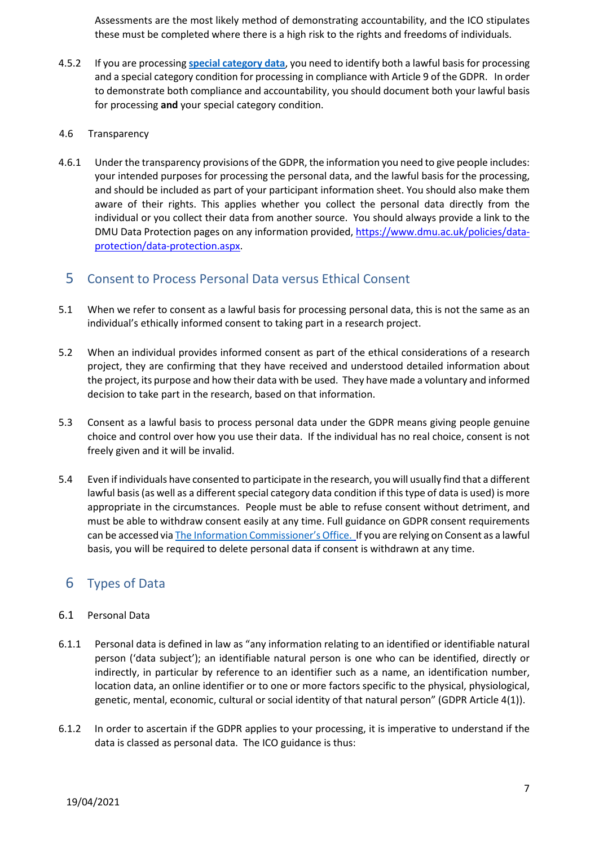Assessments are the most likely method of demonstrating accountability, and the ICO stipulates these must be completed where there is a high risk to the rights and freedoms of individuals.

- 4.5.2 If you are processing **[special category data](#page-8-2)**, you need to identify both a lawful basis for processing and a special category condition for processing in compliance with Article 9 of the GDPR. In order to demonstrate both compliance and accountability, you should document both your lawful basis for processing **and** your special category condition.
- 4.6 Transparency
- 4.6.1 Under the transparency provisions of the GDPR, the information you need to give people includes: your intended purposes for processing the personal data, and the lawful basis for the processing, and should be included as part of your participant information sheet. You should also make them aware of their rights. This applies whether you collect the personal data directly from the individual or you collect their data from another source. You should always provide a link to the DMU Data Protection pages on any information provided, [https://www.dmu.ac.uk/policies/data](https://www.dmu.ac.uk/policies/data-protection/data-protection.aspx)[protection/data-protection.aspx.](https://www.dmu.ac.uk/policies/data-protection/data-protection.aspx)

## <span id="page-6-0"></span>5 Consent to Process Personal Data versus Ethical Consent

- 5.1 When we refer to consent as a lawful basis for processing personal data, this is not the same as an individual's ethically informed consent to taking part in a research project.
- 5.2 When an individual provides informed consent as part of the ethical considerations of a research project, they are confirming that they have received and understood detailed information about the project, its purpose and how their data with be used. They have made a voluntary and informed decision to take part in the research, based on that information.
- 5.3 Consent as a lawful basis to process personal data under the GDPR means giving people genuine choice and control over how you use their data. If the individual has no real choice, consent is not freely given and it will be invalid.
- 5.4 Even if individuals have consented to participate in the research, you will usually find that a different lawful basis (as well as a different special category data condition if this type of data is used) is more appropriate in the circumstances. People must be able to refuse consent without detriment, and must be able to withdraw consent easily at any time. Full guidance on GDPR consent requirements can be accessed vi[a The Information Commissioner's Office.](https://ico.org.uk/for-organisations/guide-to-data-protection/guide-to-the-general-data-protection-regulation-gdpr/lawful-basis-for-processing/consent/) If you are relying on Consent as a lawful basis, you will be required to delete personal data if consent is withdrawn at any time.

# <span id="page-6-1"></span>6 Types of Data

#### <span id="page-6-2"></span>6.1 Personal Data

- 6.1.1 Personal data is defined in law as "any information relating to an identified or identifiable natural person ('data subject'); an identifiable natural person is one who can be identified, directly or indirectly, in particular by reference to an identifier such as a name, an identification number, location data, an online identifier or to one or more factors specific to the physical, physiological, genetic, mental, economic, cultural or social identity of that natural person" (GDPR Article 4(1)).
- 6.1.2 In order to ascertain if the GDPR applies to your processing, it is imperative to understand if the data is classed as personal data. The ICO guidance is thus: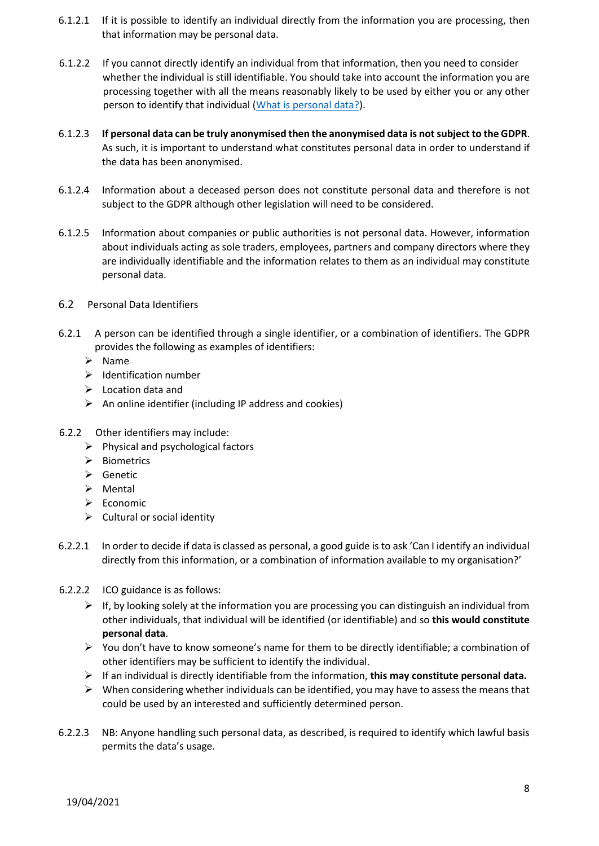- 6.1.2.1 If it is possible to identify an individual directly from the information you are processing, then that information may be personal data.
- 6.1.2.2 If you cannot directly identify an individual from that information, then you need to consider whether the individual is still identifiable. You should take into account the information you are processing together with all the means reasonably likely to be used by either you or any other person to identify that individual [\(What is personal data?\)](https://ico.org.uk/for-organisations/guide-to-data-protection/guide-to-the-general-data-protection-regulation-gdpr/key-definitions/what-is-personal-data/).
- 6.1.2.3 **If personal data can be truly anonymised then the anonymised data is not subject to the GDPR**. As such, it is important to understand what constitutes personal data in order to understand if the data has been anonymised.
- 6.1.2.4 Information about a deceased person does not constitute personal data and therefore is not subject to the GDPR although other legislation will need to be considered.
- 6.1.2.5 Information about companies or public authorities is not personal data. However, information about individuals acting as sole traders, employees, partners and company directors where they are individually identifiable and the information relates to them as an individual may constitute personal data.
- <span id="page-7-0"></span>6.2 Personal Data Identifiers
- 6.2.1 A person can be identified through a single identifier, or a combination of identifiers. The GDPR provides the following as examples of identifiers:
	- $\triangleright$  Name
	- $\triangleright$  Identification number
	- $\triangleright$  Location data and
	- $\triangleright$  An online identifier (including IP address and cookies)
- 6.2.2 Other identifiers may include:
	- $\triangleright$  Physical and psychological factors
	- $\triangleright$  Biometrics
	- $\triangleright$  Genetic
	- $\triangleright$  Mental
	- $\triangleright$  Economic
	- $\triangleright$  Cultural or social identity
- 6.2.2.1 In order to decide if data is classed as personal, a good guide is to ask 'Can I identify an individual directly from this information, or a combination of information available to my organisation?'
- 6.2.2.2 ICO guidance is as follows:
	- $\triangleright$  If, by looking solely at the information you are processing you can distinguish an individual from other individuals, that individual will be identified (or identifiable) and so **this would constitute personal data**.
	- $\triangleright$  You don't have to know someone's name for them to be directly identifiable; a combination of other identifiers may be sufficient to identify the individual.
	- If an individual is directly identifiable from the information, **this may constitute personal data.**
	- $\triangleright$  When considering whether individuals can be identified, you may have to assess the means that could be used by an interested and sufficiently determined person.
- 6.2.2.3 NB: Anyone handling such personal data, as described, is required to identify which lawful basis permits the data's usage.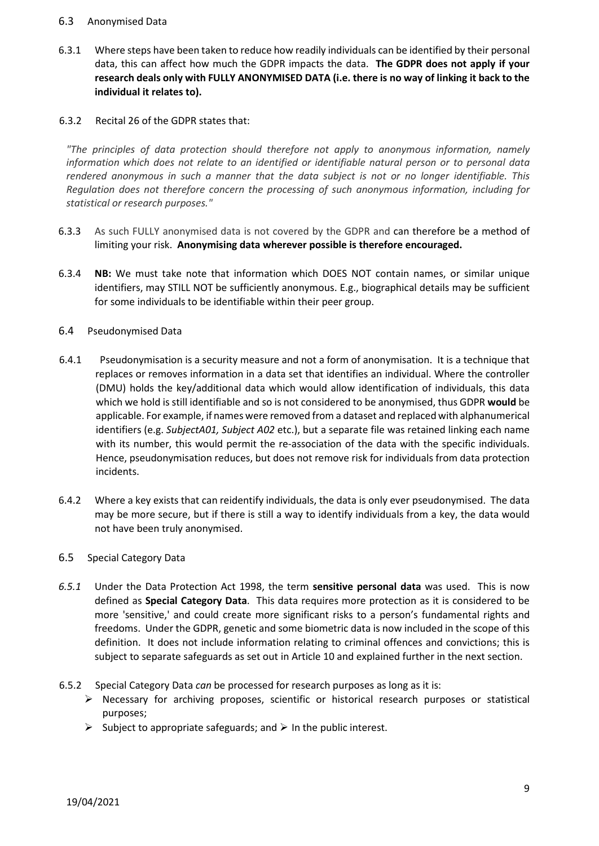#### <span id="page-8-0"></span>6.3 Anonymised Data

6.3.1 Where steps have been taken to reduce how readily individuals can be identified by their personal data, this can affect how much the GDPR impacts the data. **The GDPR does not apply if your research deals only with FULLY ANONYMISED DATA (i.e. there is no way of linking it back to the individual it relates to).**

#### 6.3.2 Recital 26 of the GDPR states that:

*"The principles of data protection should therefore not apply to anonymous information, namely information which does not relate to an identified or identifiable natural person or to personal data rendered anonymous in such a manner that the data subject is not or no longer identifiable. This Regulation does not therefore concern the processing of such anonymous information, including for statistical or research purposes."* 

- 6.3.3 As such FULLY anonymised data is not covered by the GDPR and can therefore be a method of limiting your risk. **Anonymising data wherever possible is therefore encouraged.**
- 6.3.4 **NB:** We must take note that information which DOES NOT contain names, or similar unique identifiers, may STILL NOT be sufficiently anonymous. E.g., biographical details may be sufficient for some individuals to be identifiable within their peer group.
- <span id="page-8-1"></span>6.4 Pseudonymised Data
- 6.4.1 Pseudonymisation is a security measure and not a form of anonymisation. It is a technique that replaces or removes information in a data set that identifies an individual. Where the controller (DMU) holds the key/additional data which would allow identification of individuals, this data which we hold is still identifiable and so is not considered to be anonymised, thus GDPR **would** be applicable. For example, if names were removed from a dataset and replaced with alphanumerical identifiers (e.g. *SubjectA01, Subject A02* etc.), but a separate file was retained linking each name with its number, this would permit the re-association of the data with the specific individuals. Hence, pseudonymisation reduces, but does not remove risk for individuals from data protection incidents.
- 6.4.2 Where a key exists that can reidentify individuals, the data is only ever pseudonymised. The data may be more secure, but if there is still a way to identify individuals from a key, the data would not have been truly anonymised.
- <span id="page-8-2"></span>6.5 Special Category Data
- *6.5.1* Under the Data Protection Act 1998, the term **sensitive personal data** was used. This is now defined as **Special Category Data**. This data requires more protection as it is considered to be more 'sensitive,' and could create more significant risks to a person's fundamental rights and freedoms. Under the GDPR, genetic and some biometric data is now included in the scope of this definition. It does not include information relating to criminal offences and convictions; this is subject to separate safeguards as set out in Article 10 and explained further in the next section.
- 6.5.2 Special Category Data *can* be processed for research purposes as long as it is:
	- $\triangleright$  Necessary for archiving proposes, scientific or historical research purposes or statistical purposes;
	- $\triangleright$  Subject to appropriate safeguards; and  $\triangleright$  In the public interest.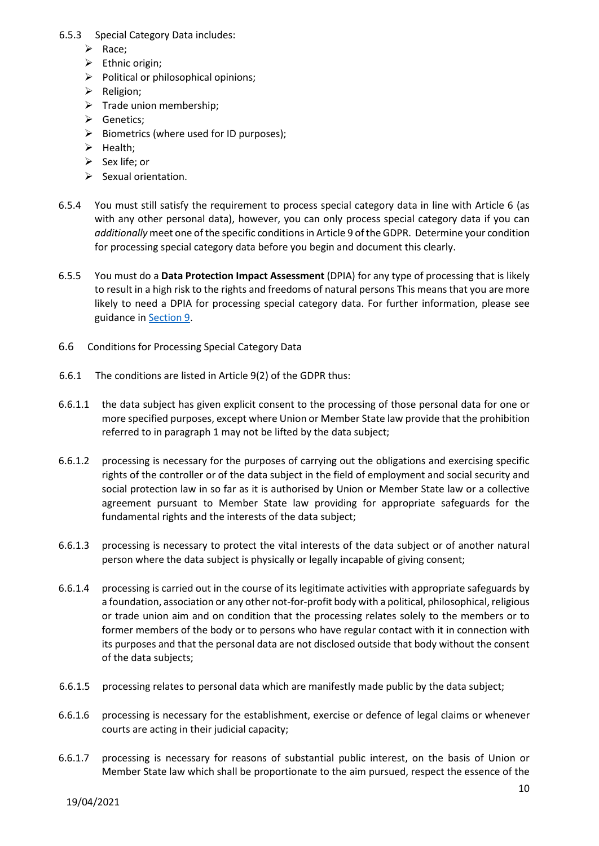- 6.5.3 Special Category Data includes:
	- $\triangleright$  Race;
	- $\triangleright$  Ethnic origin;
	- $\triangleright$  Political or philosophical opinions;
	- $\triangleright$  Religion;
	- $\triangleright$  Trade union membership;
	- **▶** Genetics;
	- $\triangleright$  Biometrics (where used for ID purposes);
	- $\blacktriangleright$  Health;
	- $\triangleright$  Sex life; or
	- $\triangleright$  Sexual orientation.
- 6.5.4 You must still satisfy the requirement to process special category data in line with Article 6 (as with any other personal data), however, you can only process special category data if you can *additionally* meet one of the specific conditions in Article 9 of the GDPR. Determine your condition for processing special category data before you begin and document this clearly.
- 6.5.5 You must do a **Data Protection Impact Assessment** (DPIA) for any type of processing that is likely to result in a high risk to the rights and freedoms of natural persons This means that you are more likely to need a DPIA for processing special category data. For further information, please see guidance in [Section 9.](#page-15-3)
- <span id="page-9-0"></span>6.6 Conditions for Processing Special Category Data
- 6.6.1 The conditions are listed in Article 9(2) of the GDPR thus:
- 6.6.1.1 the data subject has given explicit consent to the processing of those personal data for one or more specified purposes, except where Union or Member State law provide that the prohibition referred to in paragraph 1 may not be lifted by the data subject;
- 6.6.1.2 processing is necessary for the purposes of carrying out the obligations and exercising specific rights of the controller or of the data subject in the field of employment and social security and social protection law in so far as it is authorised by Union or Member State law or a collective agreement pursuant to Member State law providing for appropriate safeguards for the fundamental rights and the interests of the data subject;
- 6.6.1.3 processing is necessary to protect the vital interests of the data subject or of another natural person where the data subject is physically or legally incapable of giving consent;
- 6.6.1.4 processing is carried out in the course of its legitimate activities with appropriate safeguards by a foundation, association or any other not-for-profit body with a political, philosophical, religious or trade union aim and on condition that the processing relates solely to the members or to former members of the body or to persons who have regular contact with it in connection with its purposes and that the personal data are not disclosed outside that body without the consent of the data subjects;
- 6.6.1.5 processing relates to personal data which are manifestly made public by the data subject;
- 6.6.1.6 processing is necessary for the establishment, exercise or defence of legal claims or whenever courts are acting in their judicial capacity;
- 6.6.1.7 processing is necessary for reasons of substantial public interest, on the basis of Union or Member State law which shall be proportionate to the aim pursued, respect the essence of the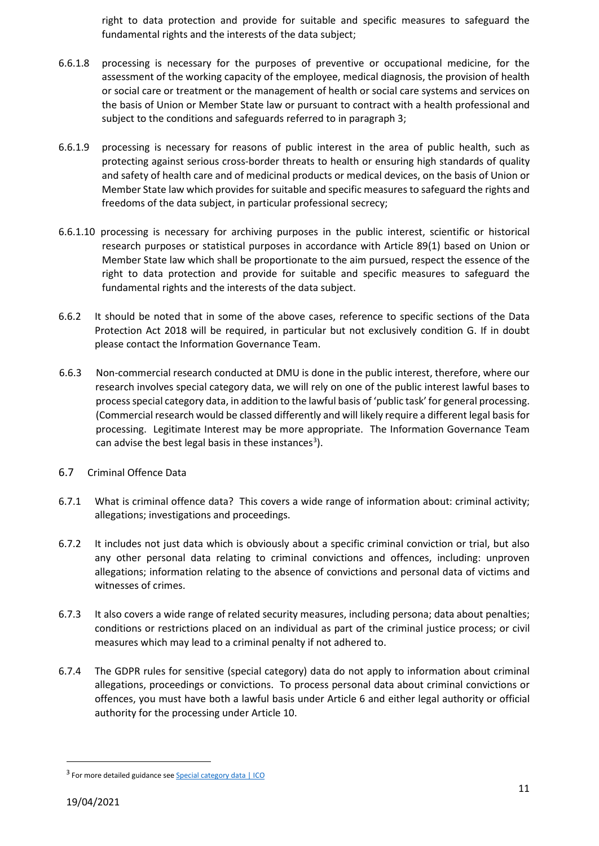right to data protection and provide for suitable and specific measures to safeguard the fundamental rights and the interests of the data subject;

- 6.6.1.8 processing is necessary for the purposes of preventive or occupational medicine, for the assessment of the working capacity of the employee, medical diagnosis, the provision of health or social care or treatment or the management of health or social care systems and services on the basis of Union or Member State law or pursuant to contract with a health professional and subject to the conditions and safeguards referred to in paragraph 3;
- 6.6.1.9 processing is necessary for reasons of public interest in the area of public health, such as protecting against serious cross-border threats to health or ensuring high standards of quality and safety of health care and of medicinal products or medical devices, on the basis of Union or Member State law which provides for suitable and specific measures to safeguard the rights and freedoms of the data subject, in particular professional secrecy;
- 6.6.1.10 processing is necessary for archiving purposes in the public interest, scientific or historical research purposes or statistical purposes in accordance with Article 89(1) based on Union or Member State law which shall be proportionate to the aim pursued, respect the essence of the right to data protection and provide for suitable and specific measures to safeguard the fundamental rights and the interests of the data subject.
- 6.6.2 It should be noted that in some of the above cases, reference to specific sections of the Data Protection Act 2018 will be required, in particular but not exclusively condition G. If in doubt please contact the Information Governance Team.
- 6.6.3 Non-commercial research conducted at DMU is done in the public interest, therefore, where our research involves special category data, we will rely on one of the public interest lawful bases to process special category data, in addition to the lawful basis of 'public task' for general processing. (Commercial research would be classed differently and will likely require a different legal basis for processing. Legitimate Interest may be more appropriate. The Information Governance Team can advise the best legal basis in these instances<sup>[3](#page-10-1)</sup>).
- <span id="page-10-0"></span>6.7 Criminal Offence Data
- 6.7.1 What is criminal offence data? This covers a wide range of information about: criminal activity; allegations; investigations and proceedings.
- 6.7.2 It includes not just data which is obviously about a specific criminal conviction or trial, but also any other personal data relating to criminal convictions and offences, including: unproven allegations; information relating to the absence of convictions and personal data of victims and witnesses of crimes.
- 6.7.3 It also covers a wide range of related security measures, including persona; data about penalties; conditions or restrictions placed on an individual as part of the criminal justice process; or civil measures which may lead to a criminal penalty if not adhered to.
- 6.7.4 The GDPR rules for sensitive (special category) data do not apply to information about criminal allegations, proceedings or convictions. To process personal data about criminal convictions or offences, you must have both a lawful basis under Article 6 and either legal authority or official authority for the processing under Article 10.

<span id="page-10-1"></span><sup>&</sup>lt;sup>3</sup> For more detailed guidance see **Special category data** | ICO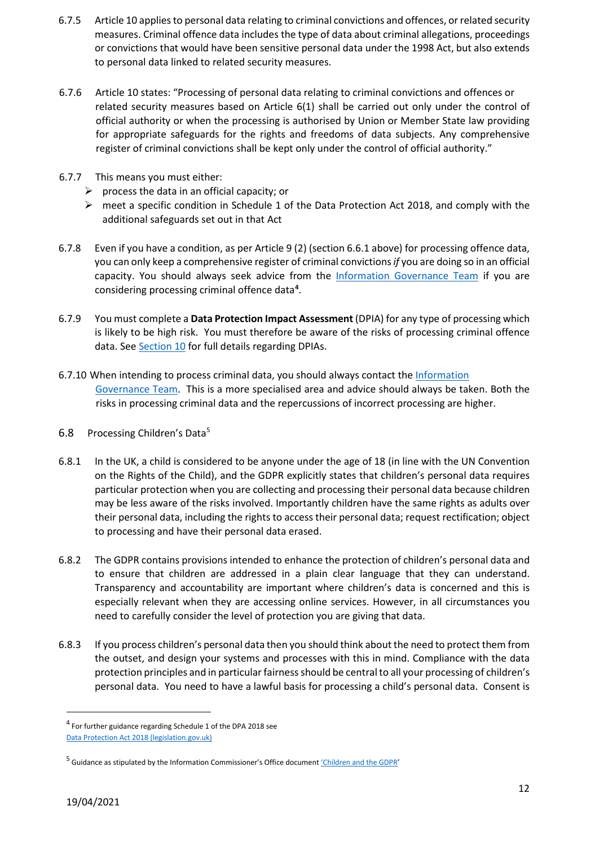- 6.7.5 Article 10 applies to personal data relating to criminal convictions and offences, or related security measures. Criminal offence data includes the type of data about criminal allegations, proceedings or convictions that would have been sensitive personal data under the 1998 Act, but also extends to personal data linked to related security measures.
- 6.7.6 Article 10 states: "Processing of personal data relating to criminal convictions and offences or related security measures based on Article 6(1) shall be carried out only under the control of official authority or when the processing is authorised by Union or Member State law providing for appropriate safeguards for the rights and freedoms of data subjects. Any comprehensive register of criminal convictions shall be kept only under the control of official authority."
- 6.7.7 This means you must either:
	- $\triangleright$  process the data in an official capacity; or
	- $\triangleright$  meet a specific condition in Schedule 1 of the Data Protection Act 2018, and comply with the additional safeguards set out in that Act
- 6.7.8 Even if you have a condition, as per Article 9 (2) (section 6.6.1 above) for processing offence data, you can only keep a comprehensive register of criminal convictions *if* you are doing so in an official capacity. You should always seek advice from the [Information Governance Team](#page-15-2) if you are considering processing criminal offence data**[4](#page-11-1)** .
- 6.7.9 You must complete a **Data Protection Impact Assessment** (DPIA) for any type of processing which is likely to be high risk. You must therefore be aware of the risks of processing criminal offence data. See [Section 1](#page-15-3)0 for full details regarding DPIAs.
- 6.7.10 When intending to process criminal data, you should always contact the Information [Governance Team.](#page-15-2) This is a more specialised area and advice should always be taken. Both the risks in processing criminal data and the repercussions of incorrect processing are higher.
- <span id="page-11-0"></span>6.8 Processing Children's Data<sup>[5](#page-11-2)</sup>
- 6.8.1 In the UK, a child is considered to be anyone under the age of 18 (in line with the UN Convention on the Rights of the Child), and the GDPR explicitly states that children's personal data requires particular protection when you are collecting and processing their personal data because children may be less aware of the risks involved. Importantly children have the same rights as adults over their personal data, including the rights to access their personal data; request rectification; object to processing and have their personal data erased.
- 6.8.2 The GDPR contains provisions intended to enhance the protection of children's personal data and to ensure that children are addressed in a plain clear language that they can understand. Transparency and accountability are important where children's data is concerned and this is especially relevant when they are accessing online services. However, in all circumstances you need to carefully consider the level of protection you are giving that data.
- 6.8.3 If you process children's personal data then you should think about the need to protect them from the outset, and design your systems and processes with this in mind. Compliance with the data protection principles and in particular fairness should be central to all your processing of children's personal data. You need to have a lawful basis for processing a child's personal data. Consent is

<span id="page-11-1"></span> <sup>4</sup> For further guidance regarding Schedule 1 of the DPA 2018 see

[Data Protection Act 2018 \(legislation.gov.uk\)](https://www.legislation.gov.uk/ukpga/2018/12/schedule/1/enacted)

<span id="page-11-2"></span><sup>&</sup>lt;sup>5</sup> Guidance as stipulated by the Information Commissioner's Office document *'Children and the GDPR'*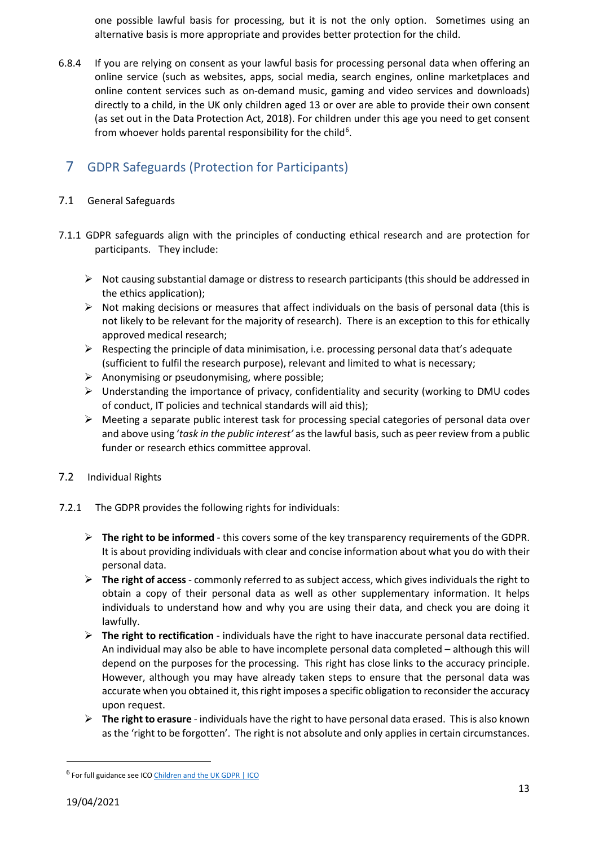one possible lawful basis for processing, but it is not the only option. Sometimes using an alternative basis is more appropriate and provides better protection for the child.

6.8.4 If you are relying on consent as your lawful basis for processing personal data when offering an online service (such as websites, apps, social media, search engines, online marketplaces and online content services such as on-demand music, gaming and video services and downloads) directly to a child, in the UK only children aged 13 or over are able to provide their own consent (as set out in the Data Protection Act, 2018). For children under this age you need to get consent from whoever holds parental responsibility for the child<sup>[6](#page-12-3)</sup>.

# <span id="page-12-0"></span>7 GDPR Safeguards (Protection for Participants)

- <span id="page-12-1"></span>7.1 General Safeguards
- 7.1.1 GDPR safeguards align with the principles of conducting ethical research and are protection for participants. They include:
	- $\triangleright$  Not causing substantial damage or distress to research participants (this should be addressed in the ethics application);
	- $\triangleright$  Not making decisions or measures that affect individuals on the basis of personal data (this is not likely to be relevant for the majority of research). There is an exception to this for ethically approved medical research;
	- $\triangleright$  Respecting the principle of data minimisation, i.e. processing personal data that's adequate (sufficient to fulfil the research purpose), relevant and limited to what is necessary;
	- $\triangleright$  Anonymising or pseudonymising, where possible;
	- $\triangleright$  Understanding the importance of privacy, confidentiality and security (working to DMU codes of conduct, IT policies and technical standards will aid this);
	- $\triangleright$  Meeting a separate public interest task for processing special categories of personal data over and above using '*task in the public interest'* as the lawful basis, such as peer review from a public funder or research ethics committee approval.
- <span id="page-12-2"></span>7.2 Individual Rights
- 7.2.1 The GDPR provides the following rights for individuals:
	- $\triangleright$  The right to be informed this covers some of the key transparency requirements of the GDPR. It is about providing individuals with clear and concise information about what you do with their personal data.
	- **The right of access** commonly referred to as subject access, which gives individuals the right to obtain a copy of their personal data as well as other supplementary information. It helps individuals to understand how and why you are using their data, and check you are doing it lawfully.
	- $\triangleright$  The right to rectification individuals have the right to have inaccurate personal data rectified. An individual may also be able to have incomplete personal data completed – although this will depend on the purposes for the processing. This right has close links to the accuracy principle. However, although you may have already taken steps to ensure that the personal data was accurate when you obtained it, this right imposes a specific obligation to reconsider the accuracy upon request.
	- **The right to erasure** individuals have the right to have personal data erased. This is also known as the 'right to be forgotten'. The right is not absolute and only applies in certain circumstances.

<span id="page-12-3"></span><sup>&</sup>lt;sup>6</sup> For full guidance see IC[O Children and the UK GDPR | ICO](https://ico.org.uk/for-organisations/guide-to-data-protection/guide-to-the-general-data-protection-regulation-gdpr/children-and-the-uk-gdpr/)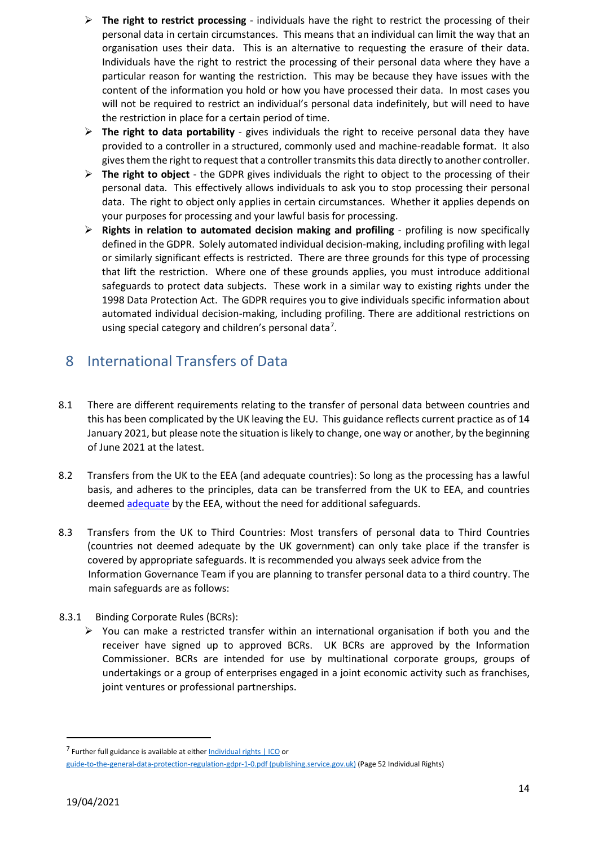- $\triangleright$  The right to restrict processing individuals have the right to restrict the processing of their personal data in certain circumstances. This means that an individual can limit the way that an organisation uses their data. This is an alternative to requesting the erasure of their data. Individuals have the right to restrict the processing of their personal data where they have a particular reason for wanting the restriction. This may be because they have issues with the content of the information you hold or how you have processed their data. In most cases you will not be required to restrict an individual's personal data indefinitely, but will need to have the restriction in place for a certain period of time.
- $\triangleright$  The right to data portability gives individuals the right to receive personal data they have provided to a controller in a structured, commonly used and machine-readable format. It also gives them the right to request that a controller transmits this data directly to another controller.
- **The right to object** the GDPR gives individuals the right to object to the processing of their personal data. This effectively allows individuals to ask you to stop processing their personal data. The right to object only applies in certain circumstances. Whether it applies depends on your purposes for processing and your lawful basis for processing.
- **Rights in relation to automated decision making and profiling** profiling is now specifically defined in the GDPR. Solely automated individual decision-making, including profiling with legal or similarly significant effects is restricted. There are three grounds for this type of processing that lift the restriction. Where one of these grounds applies, you must introduce additional safeguards to protect data subjects. These work in a similar way to existing rights under the 1998 Data Protection Act. The GDPR requires you to give individuals specific information about automated individual decision-making, including profiling. There are additional restrictions on using special category and children's personal data<sup>[7](#page-13-1)</sup>.

# <span id="page-13-0"></span>8 International Transfers of Data

- 8.1 There are different requirements relating to the transfer of personal data between countries and this has been complicated by the UK leaving the EU. This guidance reflects current practice as of 14 January 2021, but please note the situation is likely to change, one way or another, by the beginning of June 2021 at the latest.
- 8.2 Transfers from the UK to the EEA (and adequate countries): So long as the processing has a lawful basis, and adheres to the principles, data can be transferred from the UK to EEA, and countries deemed [adequate](https://ec.europa.eu/info/law/law-topic/data-protection/international-dimension-data-protection/adequacy-decisions_en) [b](https://ec.europa.eu/info/law/law-topic/data-protection/international-dimension-data-protection/adequacy-decisions_en)y the EEA, without the need for additional safeguards.
- 8.3 Transfers from the UK to Third Countries: Most transfers of personal data to Third Countries (countries not deemed adequate by the UK government) can only take place if the transfer is covered by appropriate safeguards. It is recommended you always seek advice from the Information Governance Team if you are planning to transfer personal data to a third country. The main safeguards are as follows:
- 8.3.1 Binding Corporate Rules (BCRs):
	- $\triangleright$  You can make a restricted transfer within an international organisation if both you and the receiver have signed up to approved BCRs. UK BCRs are approved by the Information Commissioner. BCRs are intended for use by multinational corporate groups, groups of undertakings or a group of enterprises engaged in a joint economic activity such as franchises, joint ventures or professional partnerships.

<span id="page-13-1"></span> $7$  Further full guidance is available at either Individual rights  $11C0$  or [guide-to-the-general-data-protection-regulation-gdpr-1-0.pdf \(publishing.service.gov.uk\)](https://assets.publishing.service.gov.uk/government/uploads/system/uploads/attachment_data/file/711097/guide-to-the-general-data-protection-regulation-gdpr-1-0.pdf) (Page 52 Individual Rights)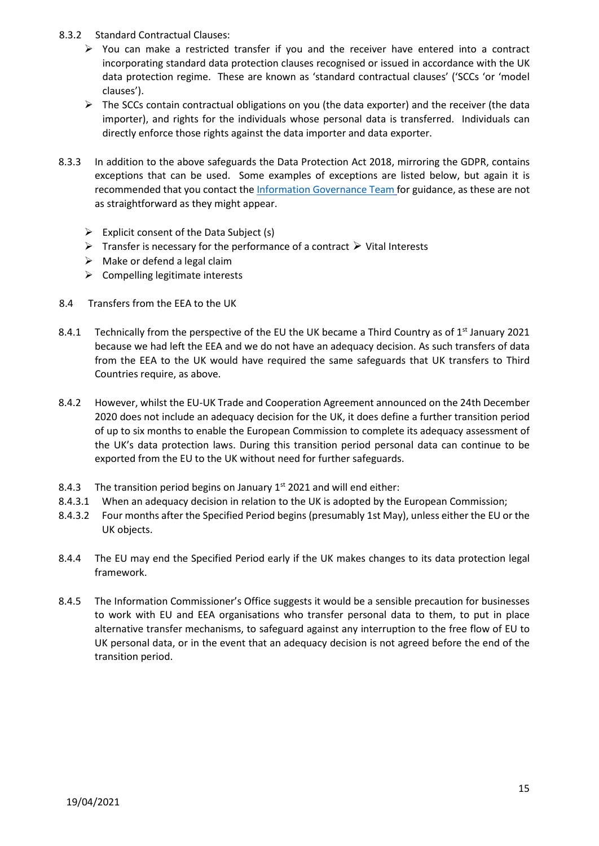- 8.3.2 Standard Contractual Clauses:
	- $\triangleright$  You can make a restricted transfer if you and the receiver have entered into a contract incorporating standard data protection clauses recognised or issued in accordance with the UK data protection regime. These are known as 'standard contractual clauses' ('SCCs 'or 'model clauses').
	- $\triangleright$  The SCCs contain contractual obligations on you (the data exporter) and the receiver (the data importer), and rights for the individuals whose personal data is transferred. Individuals can directly enforce those rights against the data importer and data exporter.
- 8.3.3 In addition to the above safeguards the Data Protection Act 2018, mirroring the GDPR, contains exceptions that can be used. Some examples of exceptions are listed below, but again it is recommended that you contact th[e Information Governance Team](#page-15-2) for guidance, as these are not as straightforward as they might appear.
	- $\triangleright$  Explicit consent of the Data Subject (s)
	- $\triangleright$  Transfer is necessary for the performance of a contract  $\triangleright$  Vital Interests
	- $\triangleright$  Make or defend a legal claim
	- $\triangleright$  Compelling legitimate interests
- 8.4 Transfers from the EEA to the UK
- 8.4.1 Technically from the perspective of the EU the UK became a Third Country as of  $1<sup>st</sup>$  January 2021 because we had left the EEA and we do not have an adequacy decision. As such transfers of data from the EEA to the UK would have required the same safeguards that UK transfers to Third Countries require, as above.
- 8.4.2 However, whilst the EU-UK Trade and Cooperation Agreement announced on the 24th December 2020 does not include an adequacy decision for the UK, it does define a further transition period of up to six months to enable the European Commission to complete its adequacy assessment of the UK's data protection laws. During this transition period personal data can continue to be exported from the EU to the UK without need for further safeguards.
- 8.4.3 The transition period begins on January  $1<sup>st</sup>$  2021 and will end either:
- 8.4.3.1 When an adequacy decision in relation to the UK is adopted by the European Commission;
- 8.4.3.2 Four months after the Specified Period begins (presumably 1st May), unless either the EU or the UK objects.
- 8.4.4 The EU may end the Specified Period early if the UK makes changes to its data protection legal framework.
- 8.4.5 The Information Commissioner's Office suggests it would be a sensible precaution for businesses to work with EU and EEA organisations who transfer personal data to them, to put in place alternative transfer mechanisms, to safeguard against any interruption to the free flow of EU to UK personal data, or in the event that an adequacy decision is not agreed before the end of the transition period.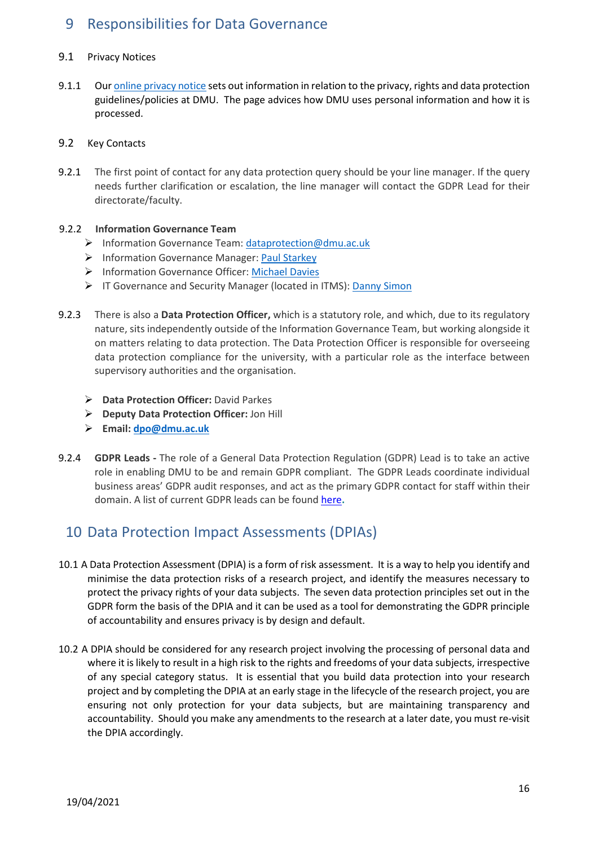# <span id="page-15-0"></span>9 Responsibilities for Data Governance

#### <span id="page-15-1"></span>9.1 Privacy Notices

9.1.1 Ou[r online privacy notice](https://www.dmu.ac.uk/policies/data-protection/data-protection.aspx) sets out information in relation to the privacy, rights and data protection guidelines/policies at DMU. The page advices how DMU uses personal information and how it is processed.

#### <span id="page-15-2"></span>9.2 Key Contacts

9.2.1 The first point of contact for any data protection query should be your line manager. If the query needs further clarification or escalation, the line manager will contact the GDPR Lead for their directorate/faculty.

#### 9.2.2 **Information Governance Team**

- > Information Governance Team[: dataprotection@dmu.ac.uk](mailto:dataprotection@dmu.ac.uk)
- > Information Governance Manager: [Paul Starkey](mailto:paul.starkey@dmu.ac.uk)
- Information Governance Officer: [Michael Davies](mailto:michael.davies@dmu.ac.uk)
- > IT Governance and Security Manager (located in ITMS)[: Danny Simon](mailto:danny.simon@dmu.ac.uk)
- 9.2.3 There is also a **Data Protection Officer,** which is a statutory role, and which, due to its regulatory nature, sits independently outside of the Information Governance Team, but working alongside it on matters relating to data protection. The Data Protection Officer is responsible for overseeing data protection compliance for the university, with a particular role as the interface between supervisory authorities and the organisation.
	- **Data Protection Officer:** David Parkes
	- **Deputy Data Protection Officer:** Jon Hill
	- **Email[: dpo@dmu.ac.uk](mailto:dpo@dmu.ac.uk)**
- 9.2.4 **GDPR Leads -** The role of a General Data Protection Regulation (GDPR) Lead is to take an active role in enabling DMU to be and remain GDPR compliant. The GDPR Leads coordinate individual business areas' GDPR audit responses, and act as the primary GDPR contact for staff within their domain. A list of current GDPR leads can be foun[d here](https://demontfortuniversity.sharepoint.com/sites/DMUHome/org/ITMS/Pages/contacts.aspx)**[.](https://demontfortuniversity.sharepoint.com/sites/DMUHome/org/ITMS/Pages/contacts.aspx)**

# <span id="page-15-3"></span>10 Data Protection Impact Assessments (DPIAs)

- 10.1 A Data Protection Assessment (DPIA) is a form of risk assessment. It is a way to help you identify and minimise the data protection risks of a research project, and identify the measures necessary to protect the privacy rights of your data subjects. The seven data protection principles set out in the GDPR form the basis of the DPIA and it can be used as a tool for demonstrating the GDPR principle of accountability and ensures privacy is by design and default.
- 10.2 A DPIA should be considered for any research project involving the processing of personal data and where it is likely to result in a high risk to the rights and freedoms of your data subjects, irrespective of any special category status. It is essential that you build data protection into your research project and by completing the DPIA at an early stage in the lifecycle of the research project, you are ensuring not only protection for your data subjects, but are maintaining transparency and accountability. Should you make any amendments to the research at a later date, you must re-visit the DPIA accordingly.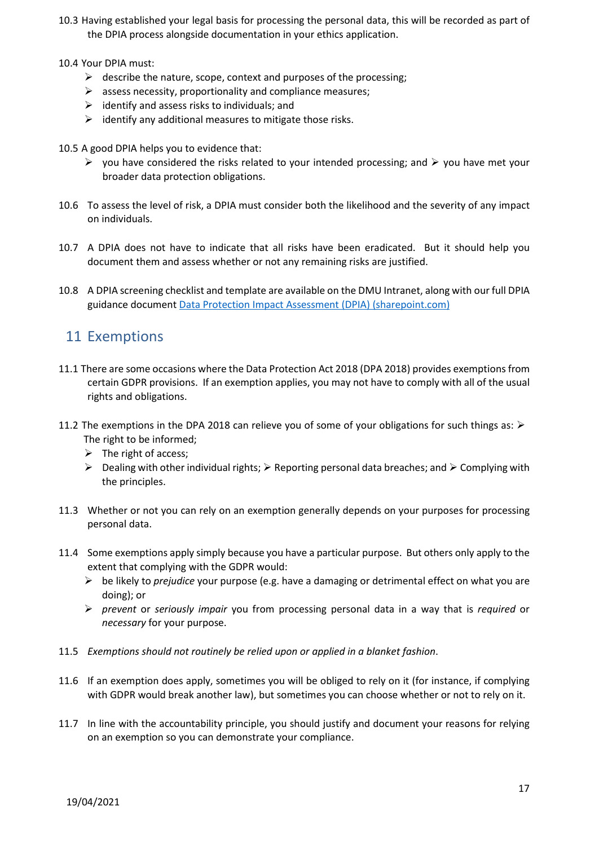- 10.3 Having established your legal basis for processing the personal data, this will be recorded as part of the DPIA process alongside documentation in your ethics application.
- 10.4 Your DPIA must:
	- $\triangleright$  describe the nature, scope, context and purposes of the processing;
	- $\triangleright$  assess necessity, proportionality and compliance measures;
	- $\triangleright$  identify and assess risks to individuals; and
	- $\triangleright$  identify any additional measures to mitigate those risks.
- 10.5 A good DPIA helps you to evidence that:
	- $\triangleright$  you have considered the risks related to your intended processing; and  $\triangleright$  you have met your broader data protection obligations.
- 10.6 To assess the level of risk, a DPIA must consider both the likelihood and the severity of any impact on individuals.
- 10.7 A DPIA does not have to indicate that all risks have been eradicated. But it should help you document them and assess whether or not any remaining risks are justified.
- 10.8 A DPIA screening checklist and template are available on the DMU Intranet, along with our full DPIA guidance document [Data Protection Impact Assessment \(DPIA\) \(sharepoint.com\)](https://demontfortuniversity.sharepoint.com/sites/DMUHome/org/ITMS/Pages/DPIA.aspx)

# <span id="page-16-0"></span>11 Exemptions

- 11.1 There are some occasions where the Data Protection Act 2018 (DPA 2018) provides exemptions from certain GDPR provisions. If an exemption applies, you may not have to comply with all of the usual rights and obligations.
- 11.2 The exemptions in the DPA 2018 can relieve you of some of your obligations for such things as:  $\triangleright$ The right to be informed;
	- $\triangleright$  The right of access;
	- $\triangleright$  Dealing with other individual rights;  $\triangleright$  Reporting personal data breaches; and  $\triangleright$  Complying with the principles.
- 11.3 Whether or not you can rely on an exemption generally depends on your purposes for processing personal data.
- 11.4 Some exemptions apply simply because you have a particular purpose. But others only apply to the extent that complying with the GDPR would:
	- be likely to *prejudice* your purpose (e.g. have a damaging or detrimental effect on what you are doing); or
	- *prevent* or *seriously impair* you from processing personal data in a way that is *required* or *necessary* for your purpose.
- 11.5 *Exemptions should not routinely be relied upon or applied in a blanket fashion*.
- 11.6 If an exemption does apply, sometimes you will be obliged to rely on it (for instance, if complying with GDPR would break another law), but sometimes you can choose whether or not to rely on it.
- 11.7 In line with the accountability principle, you should justify and document your reasons for relying on an exemption so you can demonstrate your compliance.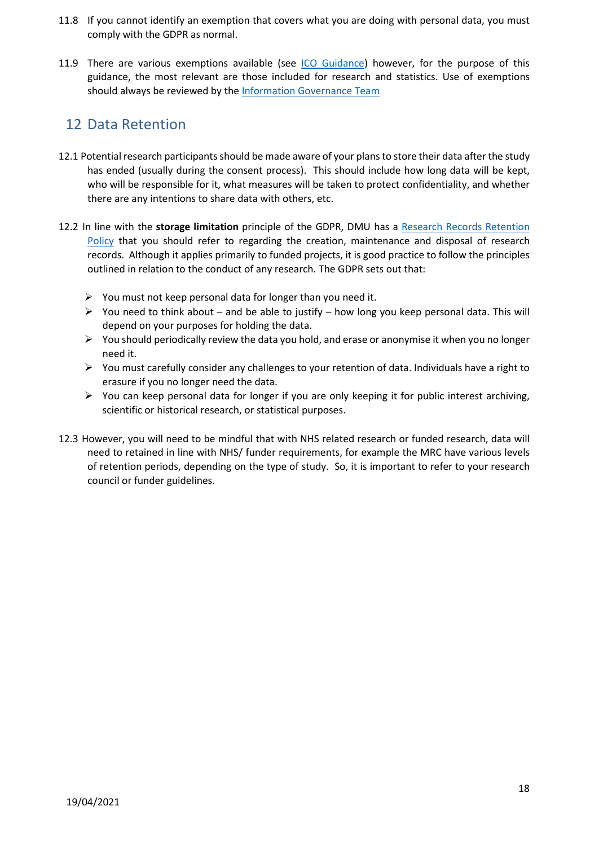- 11.8 If you cannot identify an exemption that covers what you are doing with personal data, you must comply with the GDPR as normal.
- 11.9 There are various exemptions available (see [ICO Guidance\)](https://ico.org.uk/for-organisations/guide-to-data-protection/guide-to-the-general-data-protection-regulation-gdpr/exemptions/) however, for the purpose of this guidance, the most relevant are those included for research and statistics. Use of exemptions should always be reviewed by th[e Information Governance Team](#page-15-2)

# <span id="page-17-0"></span>12 Data Retention

- 12.1 Potential research participants should be made aware of your plans to store their data after the study has ended (usually during the consent process). This should include how long data will be kept, who will be responsible for it, what measures will be taken to protect confidentiality, and whether there are any intentions to share data with others, etc.
- 12.2 In line with the **storage limitation** principle of the GDPR, DMU has a [Research Records Retention](https://www.dmu.ac.uk/about-dmu/quality-management-and-policy/records-management/records-management.aspx)  [Policy](https://www.dmu.ac.uk/about-dmu/quality-management-and-policy/records-management/records-management.aspx) that you should refer to regarding the creation, maintenance and disposal of research records. Although it applies primarily to funded projects, it is good practice to follow the principles outlined in relation to the conduct of any research. The GDPR sets out that:
	- $\triangleright$  You must not keep personal data for longer than you need it.
	- $\triangleright$  You need to think about and be able to justify how long you keep personal data. This will depend on your purposes for holding the data.
	- $\triangleright$  You should periodically review the data you hold, and erase or anonymise it when you no longer need it.
	- $\triangleright$  You must carefully consider any challenges to your retention of data. Individuals have a right to erasure if you no longer need the data.
	- $\triangleright$  You can keep personal data for longer if you are only keeping it for public interest archiving, scientific or historical research, or statistical purposes.
- 12.3 However, you will need to be mindful that with NHS related research or funded research, data will need to retained in line with NHS/ funder requirements, for example the MRC have various levels of retention periods, depending on the type of study. So, it is important to refer to your research council or funder guidelines.